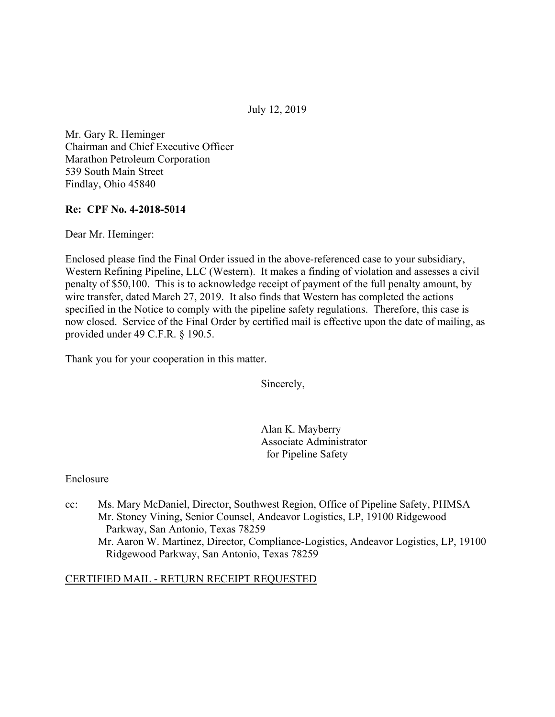July 12, 2019

Mr. Gary R. Heminger Chairman and Chief Executive Officer Marathon Petroleum Corporation 539 South Main Street Findlay, Ohio 45840

## **Re: CPF No. 4-2018-5014**

Dear Mr. Heminger:

Enclosed please find the Final Order issued in the above-referenced case to your subsidiary, Western Refining Pipeline, LLC (Western). It makes a finding of violation and assesses a civil penalty of \$50,100. This is to acknowledge receipt of payment of the full penalty amount, by wire transfer, dated March 27, 2019. It also finds that Western has completed the actions specified in the Notice to comply with the pipeline safety regulations. Therefore, this case is now closed. Service of the Final Order by certified mail is effective upon the date of mailing, as provided under 49 C.F.R. § 190.5.

Thank you for your cooperation in this matter.

Sincerely,

Alan K. Mayberry Associate Administrator for Pipeline Safety

#### Enclosure

cc: Ms. Mary McDaniel, Director, Southwest Region, Office of Pipeline Safety, PHMSA Mr. Stoney Vining, Senior Counsel, Andeavor Logistics, LP, 19100 Ridgewood Parkway, San Antonio, Texas 78259 Mr. Aaron W. Martinez, Director, Compliance-Logistics, Andeavor Logistics, LP, 19100 Ridgewood Parkway, San Antonio, Texas 78259

#### CERTIFIED MAIL - RETURN RECEIPT REQUESTED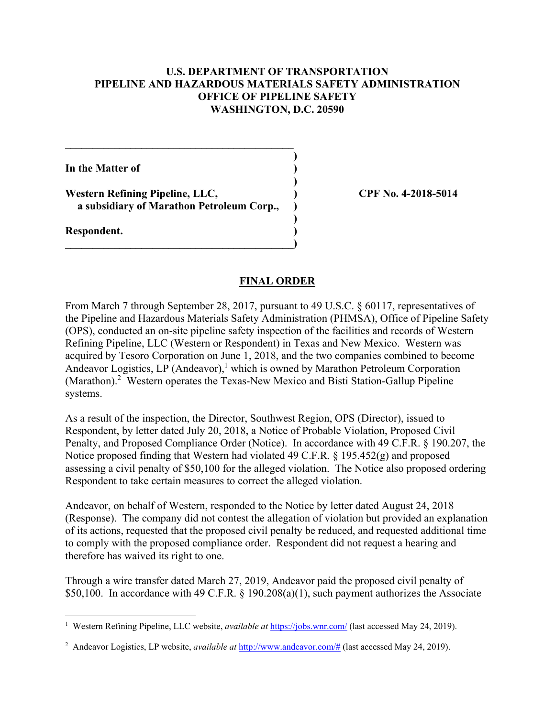### **U.S. DEPARTMENT OF TRANSPORTATION PIPELINE AND HAZARDOUS MATERIALS SAFETY ADMINISTRATION OFFICE OF PIPELINE SAFETY WASHINGTON, D.C. 20590**

**)**

 **)**

**)**

**In the Matter of )**

Western Refining Pipeline, LLC,  $\qquad \qquad$  (PF No. 4-2018-5014) **a subsidiary of Marathon Petroleum Corp., )** 

 $\overline{\phantom{a}}$ 

**\_\_\_\_\_\_\_\_\_\_\_\_\_\_\_\_\_\_\_\_\_\_\_\_\_\_\_\_\_\_\_\_\_\_\_\_\_\_\_\_\_\_** 

**Respondent. )** 

1

#### **FINAL ORDER**

From March 7 through September 28, 2017, pursuant to 49 U.S.C. § 60117, representatives of the Pipeline and Hazardous Materials Safety Administration (PHMSA), Office of Pipeline Safety (OPS), conducted an on-site pipeline safety inspection of the facilities and records of Western Refining Pipeline, LLC (Western or Respondent) in Texas and New Mexico. Western was acquired by Tesoro Corporation on June 1, 2018, and the two companies combined to become Andeavor Logistics, LP (Andeavor),<sup>1</sup> which is owned by Marathon Petroleum Corporation (Marathon).<sup>2</sup> Western operates the Texas-New Mexico and Bisti Station-Gallup Pipeline systems.

As a result of the inspection, the Director, Southwest Region, OPS (Director), issued to Respondent, by letter dated July 20, 2018, a Notice of Probable Violation, Proposed Civil Penalty, and Proposed Compliance Order (Notice). In accordance with 49 C.F.R. § 190.207, the Notice proposed finding that Western had violated 49 C.F.R. § 195.452(g) and proposed assessing a civil penalty of \$50,100 for the alleged violation. The Notice also proposed ordering Respondent to take certain measures to correct the alleged violation.

Andeavor, on behalf of Western, responded to the Notice by letter dated August 24, 2018 (Response). The company did not contest the allegation of violation but provided an explanation of its actions, requested that the proposed civil penalty be reduced, and requested additional time to comply with the proposed compliance order. Respondent did not request a hearing and therefore has waived its right to one.

Through a wire transfer dated March 27, 2019, Andeavor paid the proposed civil penalty of \$50,100. In accordance with 49 C.F.R. § 190.208(a)(1), such payment authorizes the Associate

<sup>&</sup>lt;sup>1</sup> Western Refining Pipeline, LLC website, *available at <https://jobs.wnr.com>/* (last accessed May 24, 2019).

<sup>&</sup>lt;sup>2</sup> Andeavor Logistics, LP website, *available at* [http://www.andeavor.com/](http://www.andeavor.com)# (last accessed May 24, 2019).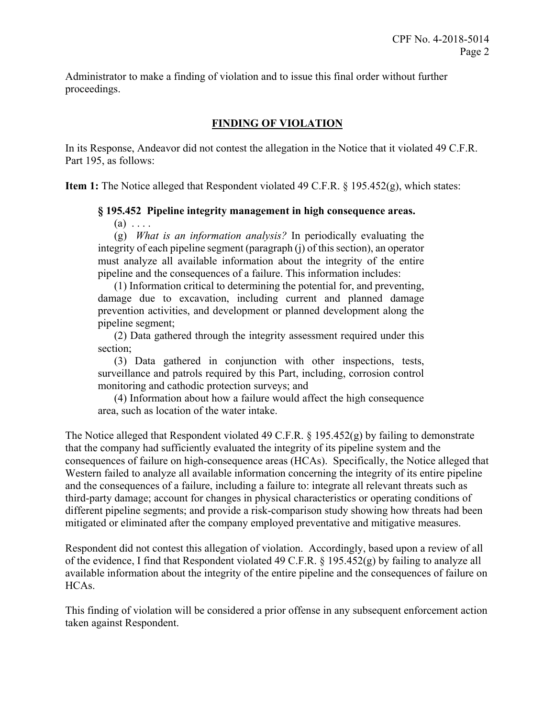proceedings. Administrator to make a finding of violation and to issue this final order without further

# **FINDING OF VIOLATION**

In its Response, Andeavor did not contest the allegation in the Notice that it violated 49 C.F.R. Part 195, as follows:

**Item 1:** The Notice alleged that Respondent violated 49 C.F.R. § 195.452(g), which states:

### **§ 195.452 Pipeline integrity management in high consequence areas.**

 $(a) \ldots$ 

(g) *What is an information analysis?* In periodically evaluating the integrity of each pipeline segment (paragraph (j) of this section), an operator must analyze all available information about the integrity of the entire pipeline and the consequences of a failure. This information includes:

(1) Information critical to determining the potential for, and preventing, damage due to excavation, including current and planned damage prevention activities, and development or planned development along the pipeline segment;

(2) Data gathered through the integrity assessment required under this section;

(3) Data gathered in conjunction with other inspections, tests, surveillance and patrols required by this Part, including, corrosion control monitoring and cathodic protection surveys; and

(4) Information about how a failure would affect the high consequence area, such as location of the water intake.

The Notice alleged that Respondent violated 49 C.F.R. § 195.452(g) by failing to demonstrate that the company had sufficiently evaluated the integrity of its pipeline system and the consequences of failure on high-consequence areas (HCAs). Specifically, the Notice alleged that Western failed to analyze all available information concerning the integrity of its entire pipeline and the consequences of a failure, including a failure to: integrate all relevant threats such as third-party damage; account for changes in physical characteristics or operating conditions of different pipeline segments; and provide a risk-comparison study showing how threats had been mitigated or eliminated after the company employed preventative and mitigative measures.

Respondent did not contest this allegation of violation. Accordingly, based upon a review of all of the evidence, I find that Respondent violated 49 C.F.R. § 195.452(g) by failing to analyze all available information about the integrity of the entire pipeline and the consequences of failure on HCAs.

This finding of violation will be considered a prior offense in any subsequent enforcement action taken against Respondent.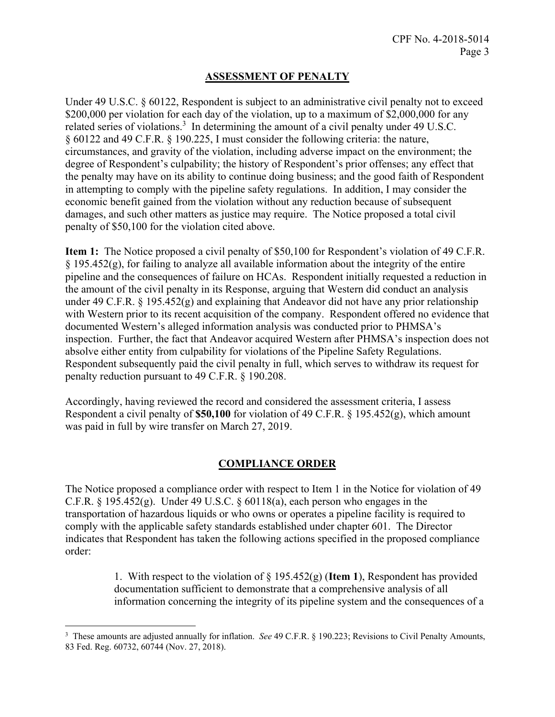## **ASSESSMENT OF PENALTY**

Under 49 U.S.C. § 60122, Respondent is subject to an administrative civil penalty not to exceed \$200,000 per violation for each day of the violation, up to a maximum of \$2,000,000 for any related series of violations.<sup>3</sup> In determining the amount of a civil penalty under 49 U.S.C. § 60122 and 49 C.F.R. § 190.225, I must consider the following criteria: the nature, circumstances, and gravity of the violation, including adverse impact on the environment; the degree of Respondent's culpability; the history of Respondent's prior offenses; any effect that the penalty may have on its ability to continue doing business; and the good faith of Respondent in attempting to comply with the pipeline safety regulations. In addition, I may consider the economic benefit gained from the violation without any reduction because of subsequent damages, and such other matters as justice may require. The Notice proposed a total civil penalty of \$50,100 for the violation cited above.

**Item 1:** The Notice proposed a civil penalty of \$50,100 for Respondent's violation of 49 C.F.R.  $\S$  195.452(g), for failing to analyze all available information about the integrity of the entire pipeline and the consequences of failure on HCAs. Respondent initially requested a reduction in the amount of the civil penalty in its Response, arguing that Western did conduct an analysis under 49 C.F.R.  $\S$  195.452(g) and explaining that Andeavor did not have any prior relationship with Western prior to its recent acquisition of the company. Respondent offered no evidence that documented Western's alleged information analysis was conducted prior to PHMSA's inspection. Further, the fact that Andeavor acquired Western after PHMSA's inspection does not absolve either entity from culpability for violations of the Pipeline Safety Regulations. Respondent subsequently paid the civil penalty in full, which serves to withdraw its request for penalty reduction pursuant to 49 C.F.R. § 190.208.

Accordingly, having reviewed the record and considered the assessment criteria, I assess Respondent a civil penalty of **\$50,100** for violation of 49 C.F.R. § 195.452(g), which amount was paid in full by wire transfer on March 27, 2019.

## **COMPLIANCE ORDER**

The Notice proposed a compliance order with respect to Item 1 in the Notice for violation of 49 C.F.R.  $\S$  195.452(g). Under 49 U.S.C.  $\S$  60118(a), each person who engages in the transportation of hazardous liquids or who owns or operates a pipeline facility is required to comply with the applicable safety standards established under chapter 601. The Director indicates that Respondent has taken the following actions specified in the proposed compliance order:

> 1. With respect to the violation of § 195.452(g) (**Item 1**), Respondent has provided documentation sufficient to demonstrate that a comprehensive analysis of all information concerning the integrity of its pipeline system and the consequences of a

 $\overline{a}$ 

<sup>3</sup> These amounts are adjusted annually for inflation. *See* 49 C.F.R. § 190.223; Revisions to Civil Penalty Amounts, 83 Fed. Reg. 60732, 60744 (Nov. 27, 2018).